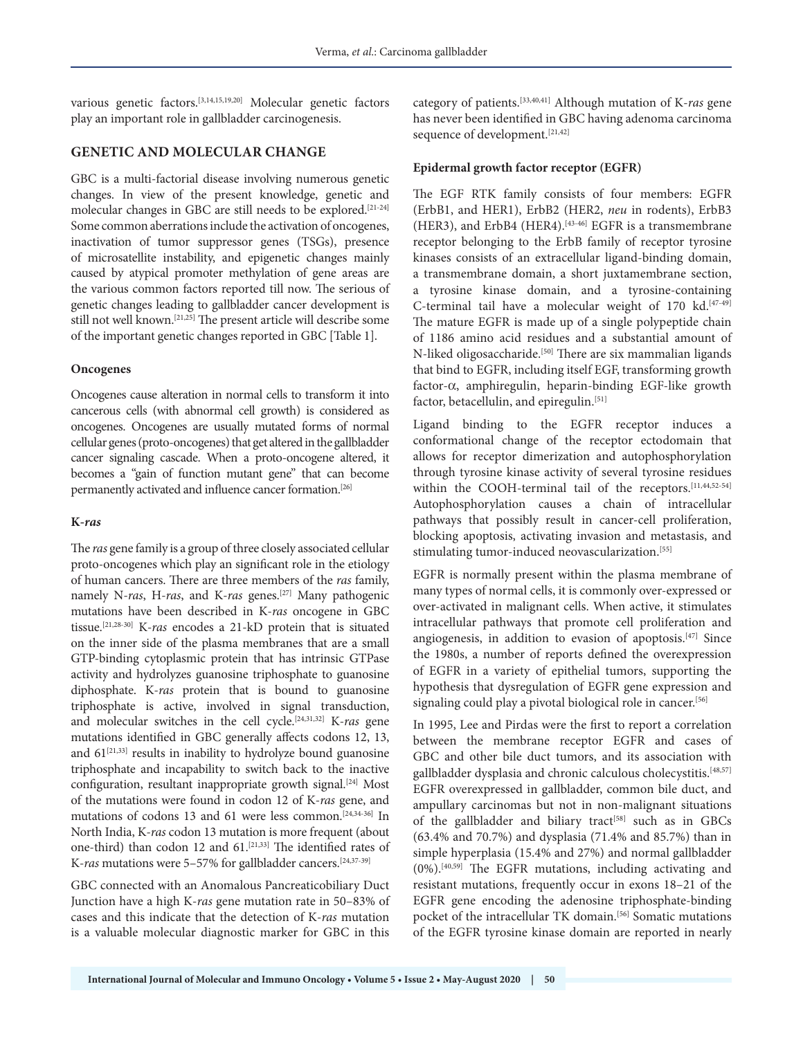various genetic factors.[3,14,15,19,20] Molecular genetic factors play an important role in gallbladder carcinogenesis.

## **GENETIC AND MOLECULAR CHANGE**

GBC is a multi-factorial disease involving numerous genetic changes. In view of the present knowledge, genetic and molecular changes in GBC are still needs to be explored.[21-24] Some common aberrations include the activation of oncogenes, inactivation of tumor suppressor genes (TSGs), presence of microsatellite instability, and epigenetic changes mainly caused by atypical promoter methylation of gene areas are the various common factors reported till now. The serious of genetic changes leading to gallbladder cancer development is still not well known.[21,25] The present article will describe some of the important genetic changes reported in GBC [Table 1].

## **Oncogenes**

Oncogenes cause alteration in normal cells to transform it into cancerous cells (with abnormal cell growth) is considered as oncogenes. Oncogenes are usually mutated forms of normal cellular genes (proto-oncogenes) that get altered in the gallbladder cancer signaling cascade. When a proto-oncogene altered, it becomes a "gain of function mutant gene" that can become permanently activated and influence cancer formation.[26]

## **K***-ras*

The *ras* gene family is a group of three closely associated cellular proto-oncogenes which play an significant role in the etiology of human cancers. There are three members of the *ras* family, namely N-*ras*, H-*ras*, and K-*ras* genes.[27] Many pathogenic mutations have been described in K-*ras* oncogene in GBC tissue.[21,28-30] K-*ras* encodes a 21-kD protein that is situated on the inner side of the plasma membranes that are a small GTP-binding cytoplasmic protein that has intrinsic GTPase activity and hydrolyzes guanosine triphosphate to guanosine diphosphate. K-*ras* protein that is bound to guanosine triphosphate is active, involved in signal transduction, and molecular switches in the cell cycle.[24,31,32] K-*ras* gene mutations identified in GBC generally affects codons 12, 13, and  $61^{[21,33]}$  results in inability to hydrolyze bound guanosine triphosphate and incapability to switch back to the inactive configuration, resultant inappropriate growth signal.[24] Most of the mutations were found in codon 12 of K-*ras* gene, and mutations of codons 13 and 61 were less common.[24,34-36] In North India, K-*ras* codon 13 mutation is more frequent (about one-third) than codon 12 and 61.<sup>[21,33]</sup> The identified rates of K-ras mutations were 5-57% for gallbladder cancers.<sup>[24,37-39]</sup>

GBC connected with an Anomalous Pancreaticobiliary Duct Junction have a high K-*ras* gene mutation rate in 50–83% of cases and this indicate that the detection of K-*ras* mutation is a valuable molecular diagnostic marker for GBC in this

category of patients.[33,40,41] Although mutation of K-*ras* gene has never been identified in GBC having adenoma carcinoma sequence of development.<sup>[21,42]</sup>

## **Epidermal growth factor receptor (EGFR)**

The EGF RTK family consists of four members: EGFR (ErbB1, and HER1), ErbB2 (HER2, *neu* in rodents), ErbB3 (HER3), and ErbB4 (HER4).<sup>[43-46]</sup> EGFR is a transmembrane receptor belonging to the ErbB family of receptor tyrosine kinases consists of an extracellular ligand-binding domain, a transmembrane domain, a short juxtamembrane section, a tyrosine kinase domain, and a tyrosine-containing C-terminal tail have a molecular weight of 170 kd.[47-49] The mature EGFR is made up of a single polypeptide chain of 1186 amino acid residues and a substantial amount of N-liked oligosaccharide.[50] There are six mammalian ligands that bind to EGFR, including itself EGF, transforming growth factor-α, amphiregulin, heparin-binding EGF-like growth factor, betacellulin, and epiregulin.<sup>[51]</sup>

Ligand binding to the EGFR receptor induces a conformational change of the receptor ectodomain that allows for receptor dimerization and autophosphorylation through tyrosine kinase activity of several tyrosine residues within the COOH-terminal tail of the receptors.[11,44,52-54] Autophosphorylation causes a chain of intracellular pathways that possibly result in cancer-cell proliferation, blocking apoptosis, activating invasion and metastasis, and stimulating tumor-induced neovascularization.<sup>[55]</sup>

EGFR is normally present within the plasma membrane of many types of normal cells, it is commonly over-expressed or over-activated in malignant cells. When active, it stimulates intracellular pathways that promote cell proliferation and angiogenesis, in addition to evasion of apoptosis.<sup>[47]</sup> Since the 1980s, a number of reports defined the overexpression of EGFR in a variety of epithelial tumors, supporting the hypothesis that dysregulation of EGFR gene expression and signaling could play a pivotal biological role in cancer.[56]

In 1995, Lee and Pirdas were the first to report a correlation between the membrane receptor EGFR and cases of GBC and other bile duct tumors, and its association with gallbladder dysplasia and chronic calculous cholecystitis.<sup>[48,57]</sup> EGFR overexpressed in gallbladder, common bile duct, and ampullary carcinomas but not in non-malignant situations of the gallbladder and biliary tract<sup>[58]</sup> such as in GBCs (63.4% and 70.7%) and dysplasia (71.4% and 85.7%) than in simple hyperplasia (15.4% and 27%) and normal gallbladder (0%).[40,59] The EGFR mutations, including activating and resistant mutations, frequently occur in exons 18–21 of the EGFR gene encoding the adenosine triphosphate-binding pocket of the intracellular TK domain.<sup>[56]</sup> Somatic mutations of the EGFR tyrosine kinase domain are reported in nearly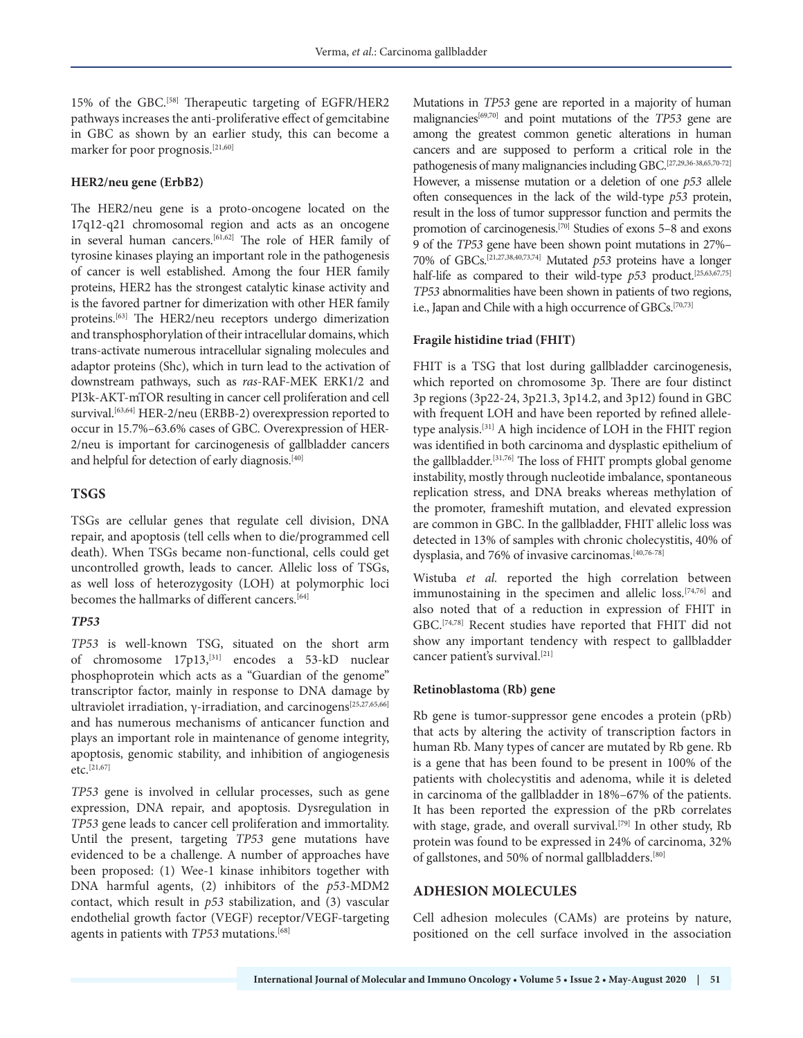15% of the GBC.[58] Therapeutic targeting of EGFR/HER2 pathways increases the anti-proliferative effect of gemcitabine in GBC as shown by an earlier study, this can become a marker for poor prognosis.[21,60]

#### **HER2/neu gene (ErbB2)**

The HER2/neu gene is a proto-oncogene located on the 17q12-q21 chromosomal region and acts as an oncogene in several human cancers.[61,62] The role of HER family of tyrosine kinases playing an important role in the pathogenesis of cancer is well established. Among the four HER family proteins, HER2 has the strongest catalytic kinase activity and is the favored partner for dimerization with other HER family proteins.[63] The HER2/neu receptors undergo dimerization and transphosphorylation of their intracellular domains, which trans-activate numerous intracellular signaling molecules and adaptor proteins (Shc), which in turn lead to the activation of downstream pathways, such as *ras*-RAF-MEK ERK1/2 and PI3k-AKT-mTOR resulting in cancer cell proliferation and cell survival.<sup>[63,64]</sup> HER-2/neu (ERBB-2) overexpression reported to occur in 15.7%–63.6% cases of GBC. Overexpression of HER-2/neu is important for carcinogenesis of gallbladder cancers and helpful for detection of early diagnosis.<sup>[40]</sup>

## **TSGS**

TSGs are cellular genes that regulate cell division, DNA repair, and apoptosis (tell cells when to die/programmed cell death). When TSGs became non-functional, cells could get uncontrolled growth, leads to cancer. Allelic loss of TSGs, as well loss of heterozygosity (LOH) at polymorphic loci becomes the hallmarks of different cancers.<sup>[64]</sup>

## *TP53*

*TP53* is well-known TSG, situated on the short arm of chromosome 17p13,[31] encodes a 53-kD nuclear phosphoprotein which acts as a "Guardian of the genome" transcriptor factor, mainly in response to DNA damage by ultraviolet irradiation, γ-irradiation, and carcinogens<sup>[25,27,65,66]</sup> and has numerous mechanisms of anticancer function and plays an important role in maintenance of genome integrity, apoptosis, genomic stability, and inhibition of angiogenesis etc.[21,67]

*TP53* gene is involved in cellular processes, such as gene expression, DNA repair, and apoptosis. Dysregulation in *TP53* gene leads to cancer cell proliferation and immortality. Until the present, targeting *TP53* gene mutations have evidenced to be a challenge. A number of approaches have been proposed: (1) Wee-1 kinase inhibitors together with DNA harmful agents, (2) inhibitors of the *p53*-MDM2 contact, which result in *p53* stabilization, and (3) vascular endothelial growth factor (VEGF) receptor/VEGF-targeting agents in patients with *TP53* mutations.[68]

Mutations in *TP53* gene are reported in a majority of human malignancies[69,70] and point mutations of the *TP53* gene are among the greatest common genetic alterations in human cancers and are supposed to perform a critical role in the pathogenesis of many malignancies including GBC.[27,29,36-38,65,70-72] However, a missense mutation or a deletion of one *p53* allele often consequences in the lack of the wild-type *p53* protein, result in the loss of tumor suppressor function and permits the promotion of carcinogenesis.[70] Studies of exons 5–8 and exons 9 of the *TP53* gene have been shown point mutations in 27%– 70% of GBCs.[21,27,38,40,73,74] Mutated *p53* proteins have a longer half-life as compared to their wild-type  $p53$  product.<sup>[25,63,67,75]</sup> *TP53* abnormalities have been shown in patients of two regions, i.e., Japan and Chile with a high occurrence of GBCs.<sup>[70,73]</sup>

## **Fragile histidine triad (FHIT)**

FHIT is a TSG that lost during gallbladder carcinogenesis, which reported on chromosome 3p. There are four distinct 3p regions (3p22-24, 3p21.3, 3p14.2, and 3p12) found in GBC with frequent LOH and have been reported by refined alleletype analysis.[31] A high incidence of LOH in the FHIT region was identified in both carcinoma and dysplastic epithelium of the gallbladder.[31,76] The loss of FHIT prompts global genome instability, mostly through nucleotide imbalance, spontaneous replication stress, and DNA breaks whereas methylation of the promoter, frameshift mutation, and elevated expression are common in GBC. In the gallbladder, FHIT allelic loss was detected in 13% of samples with chronic cholecystitis, 40% of dysplasia, and 76% of invasive carcinomas.<sup>[40,76-78]</sup>

Wistuba *et al.* reported the high correlation between immunostaining in the specimen and allelic loss.<sup>[74,76]</sup> and also noted that of a reduction in expression of FHIT in GBC.[74,78] Recent studies have reported that FHIT did not show any important tendency with respect to gallbladder cancer patient's survival.<sup>[21]</sup>

## **Retinoblastoma (Rb) gene**

Rb gene is tumor-suppressor gene encodes a protein (pRb) that acts by altering the activity of transcription factors in human Rb. Many types of cancer are mutated by Rb gene. Rb is a gene that has been found to be present in 100% of the patients with cholecystitis and adenoma, while it is deleted in carcinoma of the gallbladder in 18%–67% of the patients. It has been reported the expression of the pRb correlates with stage, grade, and overall survival.<sup>[79]</sup> In other study, Rb protein was found to be expressed in 24% of carcinoma, 32% of gallstones, and 50% of normal gallbladders.<sup>[80]</sup>

# **ADHESION MOLECULES**

Cell adhesion molecules (CAMs) are proteins by nature, positioned on the cell surface involved in the association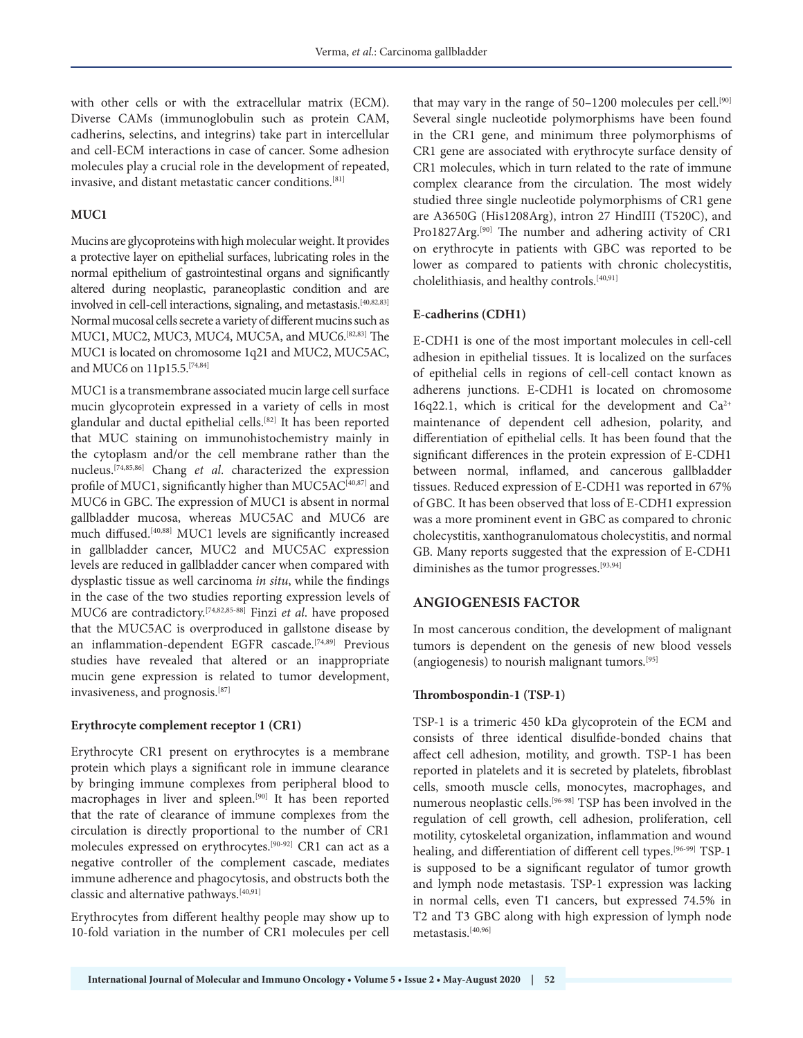with other cells or with the extracellular matrix (ECM). Diverse CAMs (immunoglobulin such as protein CAM, cadherins, selectins, and integrins) take part in intercellular and cell-ECM interactions in case of cancer. Some adhesion molecules play a crucial role in the development of repeated, invasive, and distant metastatic cancer conditions.[81]

## **MUC1**

Mucins are glycoproteins with high molecular weight. It provides a protective layer on epithelial surfaces, lubricating roles in the normal epithelium of gastrointestinal organs and significantly altered during neoplastic, paraneoplastic condition and are involved in cell-cell interactions, signaling, and metastasis.[40,82,83] Normal mucosal cells secrete a variety of different mucins such as MUC1, MUC2, MUC3, MUC4, MUC5A, and MUC6.[82,83] The MUC1 is located on chromosome 1q21 and MUC2, MUC5AC, and MUC6 on 11p15.5.[74,84]

MUC1 is a transmembrane associated mucin large cell surface mucin glycoprotein expressed in a variety of cells in most glandular and ductal epithelial cells.[82] It has been reported that MUC staining on immunohistochemistry mainly in the cytoplasm and/or the cell membrane rather than the nucleus.[74,85,86] Chang *et al*. characterized the expression profile of MUC1, significantly higher than MUC5AC<sup>[40,87]</sup> and MUC6 in GBC. The expression of MUC1 is absent in normal gallbladder mucosa, whereas MUC5AC and MUC6 are much diffused.[40,88] MUC1 levels are significantly increased in gallbladder cancer, MUC2 and MUC5AC expression levels are reduced in gallbladder cancer when compared with dysplastic tissue as well carcinoma *in situ*, while the findings in the case of the two studies reporting expression levels of MUC6 are contradictory.[74,82,85-88] Finzi *et al*. have proposed that the MUC5AC is overproduced in gallstone disease by an inflammation-dependent EGFR cascade.<sup>[74,89]</sup> Previous studies have revealed that altered or an inappropriate mucin gene expression is related to tumor development, invasiveness, and prognosis.[87]

#### **Erythrocyte complement receptor 1 (CR1)**

Erythrocyte CR1 present on erythrocytes is a membrane protein which plays a significant role in immune clearance by bringing immune complexes from peripheral blood to macrophages in liver and spleen.[90] It has been reported that the rate of clearance of immune complexes from the circulation is directly proportional to the number of CR1 molecules expressed on erythrocytes.[90-92] CR1 can act as a negative controller of the complement cascade, mediates immune adherence and phagocytosis, and obstructs both the classic and alternative pathways.[40,91]

Erythrocytes from different healthy people may show up to 10-fold variation in the number of CR1 molecules per cell

that may vary in the range of  $50-1200$  molecules per cell.<sup>[90]</sup> Several single nucleotide polymorphisms have been found in the CR1 gene, and minimum three polymorphisms of CR1 gene are associated with erythrocyte surface density of CR1 molecules, which in turn related to the rate of immune complex clearance from the circulation. The most widely studied three single nucleotide polymorphisms of CR1 gene are A3650G (His1208Arg), intron 27 HindIII (T520C), and Pro1827Arg.[90] The number and adhering activity of CR1 on erythrocyte in patients with GBC was reported to be lower as compared to patients with chronic cholecystitis, cholelithiasis, and healthy controls.<sup>[40,91]</sup>

#### **E-cadherins (CDH1)**

E-CDH1 is one of the most important molecules in cell-cell adhesion in epithelial tissues. It is localized on the surfaces of epithelial cells in regions of cell-cell contact known as adherens junctions. E-CDH1 is located on chromosome 16q22.1, which is critical for the development and  $Ca^{2+}$ maintenance of dependent cell adhesion, polarity, and differentiation of epithelial cells. It has been found that the significant differences in the protein expression of E-CDH1 between normal, inflamed, and cancerous gallbladder tissues. Reduced expression of E-CDH1 was reported in 67% of GBC. It has been observed that loss of E-CDH1 expression was a more prominent event in GBC as compared to chronic cholecystitis, xanthogranulomatous cholecystitis, and normal GB. Many reports suggested that the expression of E-CDH1 diminishes as the tumor progresses.<sup>[93,94]</sup>

#### **ANGIOGENESIS FACTOR**

In most cancerous condition, the development of malignant tumors is dependent on the genesis of new blood vessels (angiogenesis) to nourish malignant tumors.[95]

#### **Thrombospondin-1 (TSP-1)**

TSP-1 is a trimeric 450 kDa glycoprotein of the ECM and consists of three identical disulfide-bonded chains that affect cell adhesion, motility, and growth. TSP-1 has been reported in platelets and it is secreted by platelets, fibroblast cells, smooth muscle cells, monocytes, macrophages, and numerous neoplastic cells.[96-98] TSP has been involved in the regulation of cell growth, cell adhesion, proliferation, cell motility, cytoskeletal organization, inflammation and wound healing, and differentiation of different cell types.[96-99] TSP-1 is supposed to be a significant regulator of tumor growth and lymph node metastasis. TSP-1 expression was lacking in normal cells, even T1 cancers, but expressed 74.5% in T2 and T3 GBC along with high expression of lymph node metastasis.[40,96]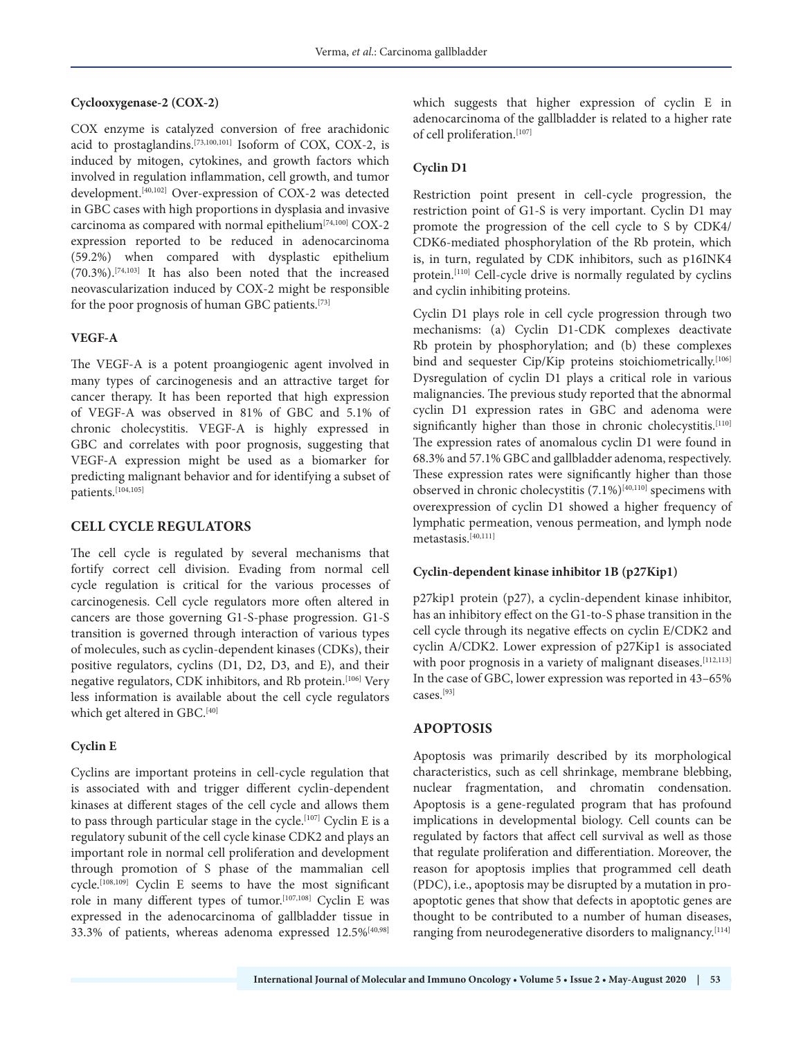### **Cyclooxygenase-2 (COX-2)**

COX enzyme is catalyzed conversion of free arachidonic acid to prostaglandins.[73,100,101] Isoform of COX, COX-2, is induced by mitogen, cytokines, and growth factors which involved in regulation inflammation, cell growth, and tumor development.[40,102] Over-expression of COX-2 was detected in GBC cases with high proportions in dysplasia and invasive carcinoma as compared with normal epithelium[74,100] COX-2 expression reported to be reduced in adenocarcinoma (59.2%) when compared with dysplastic epithelium (70.3%).[74,103] It has also been noted that the increased neovascularization induced by COX-2 might be responsible for the poor prognosis of human GBC patients.[73]

#### **VEGF-A**

The VEGF-A is a potent proangiogenic agent involved in many types of carcinogenesis and an attractive target for cancer therapy. It has been reported that high expression of VEGF-A was observed in 81% of GBC and 5.1% of chronic cholecystitis. VEGF-A is highly expressed in GBC and correlates with poor prognosis, suggesting that VEGF-A expression might be used as a biomarker for predicting malignant behavior and for identifying a subset of patients.[104,105]

## **CELL CYCLE REGULATORS**

The cell cycle is regulated by several mechanisms that fortify correct cell division. Evading from normal cell cycle regulation is critical for the various processes of carcinogenesis. Cell cycle regulators more often altered in cancers are those governing G1-S-phase progression. G1-S transition is governed through interaction of various types of molecules, such as cyclin-dependent kinases (CDKs), their positive regulators, cyclins (D1, D2, D3, and E), and their negative regulators, CDK inhibitors, and Rb protein.<sup>[106]</sup> Very less information is available about the cell cycle regulators which get altered in GBC.<sup>[40]</sup>

## **Cyclin E**

Cyclins are important proteins in cell-cycle regulation that is associated with and trigger different cyclin-dependent kinases at different stages of the cell cycle and allows them to pass through particular stage in the cycle.<sup>[107]</sup> Cyclin E is a regulatory subunit of the cell cycle kinase CDK2 and plays an important role in normal cell proliferation and development through promotion of S phase of the mammalian cell cycle.[108,109] Cyclin E seems to have the most significant role in many different types of tumor.[107,108] Cyclin E was expressed in the adenocarcinoma of gallbladder tissue in 33.3% of patients, whereas adenoma expressed 12.5%[40,98] which suggests that higher expression of cyclin E in adenocarcinoma of the gallbladder is related to a higher rate of cell proliferation.<sup>[107]</sup>

## **Cyclin D1**

Restriction point present in cell-cycle progression, the restriction point of G1-S is very important. Cyclin D1 may promote the progression of the cell cycle to S by CDK4/ CDK6-mediated phosphorylation of the Rb protein, which is, in turn, regulated by CDK inhibitors, such as p16INK4 protein.[110] Cell-cycle drive is normally regulated by cyclins and cyclin inhibiting proteins.

Cyclin D1 plays role in cell cycle progression through two mechanisms: (a) Cyclin D1-CDK complexes deactivate Rb protein by phosphorylation; and (b) these complexes bind and sequester Cip/Kip proteins stoichiometrically.<sup>[106]</sup> Dysregulation of cyclin D1 plays a critical role in various malignancies. The previous study reported that the abnormal cyclin D1 expression rates in GBC and adenoma were significantly higher than those in chronic cholecystitis.<sup>[110]</sup> The expression rates of anomalous cyclin D1 were found in 68.3% and 57.1% GBC and gallbladder adenoma, respectively. These expression rates were significantly higher than those observed in chronic cholecystitis  $(7.1\%)^{[40,110]}$  specimens with overexpression of cyclin D1 showed a higher frequency of lymphatic permeation, venous permeation, and lymph node metastasis.[40,111]

## **Cyclin-dependent kinase inhibitor 1B (p27Kip1)**

p27kip1 protein (p27), a cyclin-dependent kinase inhibitor, has an inhibitory effect on the G1-to-S phase transition in the cell cycle through its negative effects on cyclin E/CDK2 and cyclin A/CDK2. Lower expression of p27Kip1 is associated with poor prognosis in a variety of malignant diseases.<sup>[112,113]</sup> In the case of GBC, lower expression was reported in 43–65% cases.[93]

# **APOPTOSIS**

Apoptosis was primarily described by its morphological characteristics, such as cell shrinkage, membrane blebbing, nuclear fragmentation, and chromatin condensation. Apoptosis is a gene-regulated program that has profound implications in developmental biology. Cell counts can be regulated by factors that affect cell survival as well as those that regulate proliferation and differentiation. Moreover, the reason for apoptosis implies that programmed cell death (PDC), i.e., apoptosis may be disrupted by a mutation in proapoptotic genes that show that defects in apoptotic genes are thought to be contributed to a number of human diseases, ranging from neurodegenerative disorders to malignancy.[114]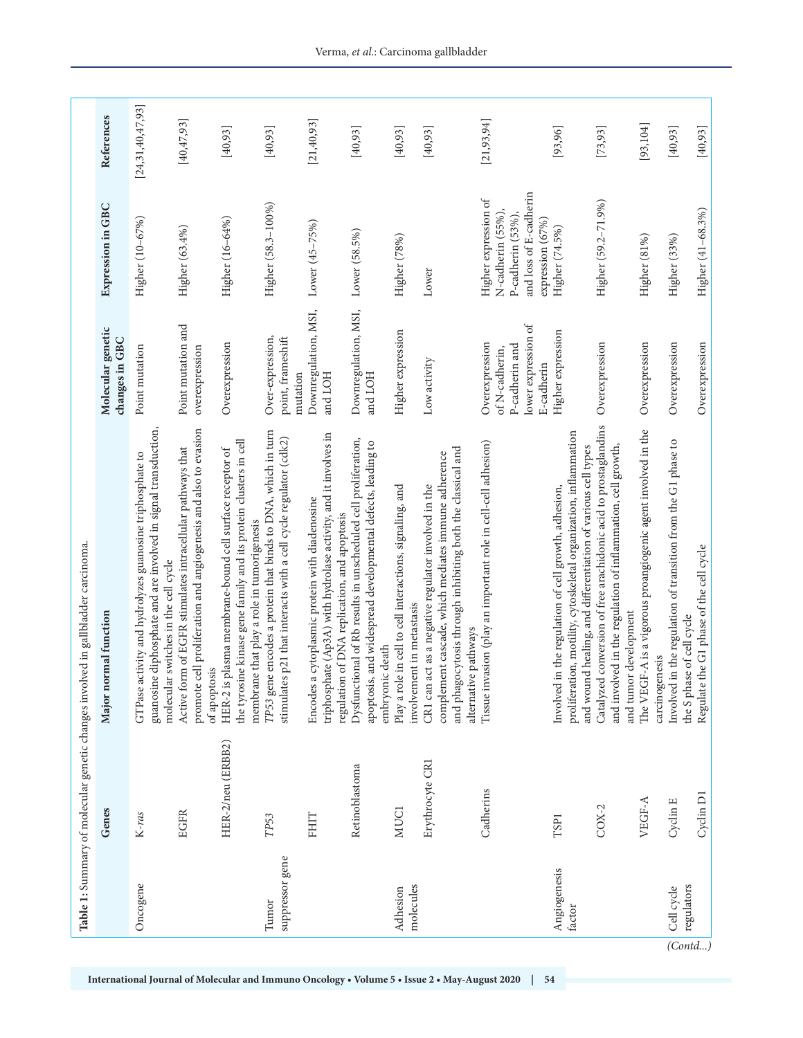|                          | Genes             | Major normal function                                                                                                                                                                            | Molecular genetic<br>changes in GBC                                                     | Expression in GBC                                                                                            | References       |
|--------------------------|-------------------|--------------------------------------------------------------------------------------------------------------------------------------------------------------------------------------------------|-----------------------------------------------------------------------------------------|--------------------------------------------------------------------------------------------------------------|------------------|
| Oncogene                 | $K-ras$           | guanosine diphosphate and are involved in signal transduction,<br>GTPase activity and hydrolyzes guanosine triphosphate to<br>molecular switches in the cell cycle                               | Point mutation                                                                          | Higher (10-67%)                                                                                              | [24,31,40,47,93] |
|                          | <b>EGFR</b>       | promote cell proliferation and angiogenesis and also to evasion<br>Active form of EGFR stimulates intracellular pathways that<br>of apoptosis                                                    | Point mutation and<br>overexpression                                                    | Higher (63.4%)                                                                                               | [40, 47, 93]     |
|                          | HER-2/neu (ERBB2) | the tyrosine kinase gene family and its protein clusters in cell<br>HER-2 is plasma membrane-bound cell surface receptor of<br>membrane that play a role in tumorigenesis                        | Overexpression                                                                          | Higher (16-64%)                                                                                              | [40, 93]         |
| suppressor gene<br>Tumor | TP53              | encodes a protein that binds to DNA, which in turn<br>p21 that interacts with a cell cycle regulator (cdk2)<br>$TP53\,\mathrm{gene}$<br>stimulates                                               | Over-expression,<br>point, frameshift<br>mutation                                       | Higher (58.3-100%)                                                                                           | [40, 93]         |
|                          | FHIT              | triphosphate (Ap3A) with hydrolase activity, and it involves in<br>Encodes a cytoplasmic protein with diadenosine<br>regulation of DNA replication, and apoptosis                                | Downregulation, MSI,<br>and LOH                                                         | Lower (45-75%)                                                                                               | [21, 40, 93]     |
|                          | Retinoblastoma    | Dysfunctional of Rb results in unscheduled cell proliferation,<br>apoptosis, and widespread developmental defects, leading to<br>embryonic death                                                 | Downregulation, MSI,<br>and LOH                                                         | Lower (58.5%)                                                                                                | [40, 93]         |
| molecules<br>Adhesion    | MUC1              | Play a role in cell to cell interactions, signaling, and<br>involvement in metastasis                                                                                                            | Higher expression                                                                       | Higher (78%)                                                                                                 | [40, 93]         |
|                          | Erythrocyte CR1   | and phagocytosis through inhibiting both the classical and<br>complement cascade, which mediates immune adherence<br>CR1 can act as a negative regulator involved in the<br>alternative pathways | Low activity                                                                            | Lower                                                                                                        | [40, 93]         |
|                          | Cadherins         | Tissue invasion (play an important role in cell-cell adhesion)                                                                                                                                   | lower expression of<br>Overexpression<br>P-cadherin and<br>of N-cadherin,<br>E-cadherin | and loss of E-cadherin<br>Higher expression of<br>N-cadherin (55%),<br>P-cadherin (53%),<br>expression (67%) | [21, 93, 94]     |
| Angiogenesis<br>factor   | TSP <sub>1</sub>  | proliferation, motility, cytoskeletal organization, inflammation<br>and wound healing, and differentiation of various cell types<br>Involved in the regulation of cell growth, adhesion,         | Higher expression                                                                       | Higher (74.5%)                                                                                               | [93,96]          |
|                          | $COX-2$           | conversion of free arachidonic acid to prostaglandins<br>and involved in the regulation of inflammation, cell growth,<br>and tumor development<br>Catalyzed                                      | Overexpression                                                                          | Higher (59.2-71.9%)                                                                                          | [73, 93]         |
|                          | VEGF-A            | The VEGF-A is a vigorous proangiogenic agent involved in the<br>carcinogenesis                                                                                                                   | Overexpression                                                                          | Higher (81%)                                                                                                 | [93, 104]        |
| regulators<br>Cell cycle | Cyclin E          | Involved in the regulation of transition from the G1 phase to<br>the S phase of cell cycle                                                                                                       | Overexpression                                                                          | Higher (33%)                                                                                                 | [40, 93]         |
|                          | Cyclin D1         | Regulate the G1 phase of the cell cycle                                                                                                                                                          | Overexpression                                                                          | Higher (41-68.3%)                                                                                            | [40, 93]         |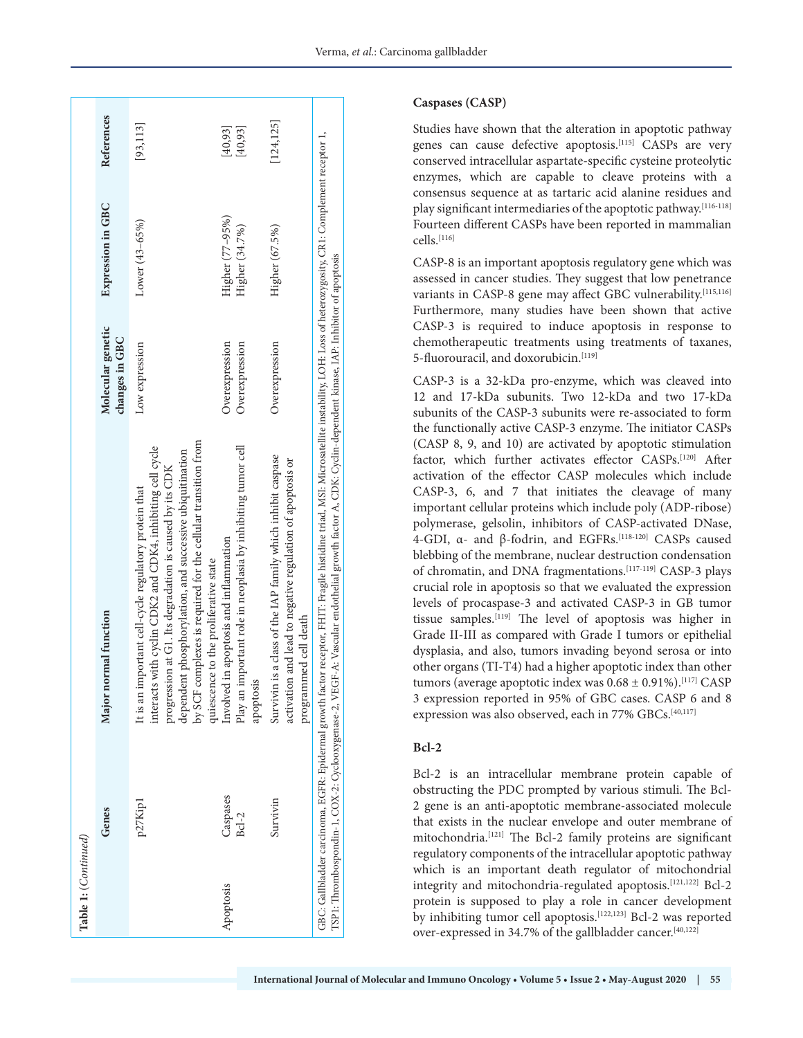| Table 1: (Continued) |                    |                                                                                                                                                                                                                                                                                                                                                         |                                     |                                   |                      |
|----------------------|--------------------|---------------------------------------------------------------------------------------------------------------------------------------------------------------------------------------------------------------------------------------------------------------------------------------------------------------------------------------------------------|-------------------------------------|-----------------------------------|----------------------|
|                      | Genes              | Major normal function                                                                                                                                                                                                                                                                                                                                   | Molecular genetic<br>changes in GBC | Expression in GBC                 | References           |
|                      | p27Kip1            | by SCF complexes is required for the cellular transition from<br>with cyclin CDK2 and CDK4, inhibiting cell cycle<br>dependent phosphorylation, and successive ubiquitination<br>progression at G1. Its degradation is caused by its CDK<br>It is an important cell-cycle regulatory protein that<br>quiescence to the proliferative state<br>interacts | Low expression                      | Lower (43-65%)                    | [93, 113]            |
| Apoptosis            | Caspases<br>$Bd-2$ | Play an important role in neoplasia by inhibiting tumor cell<br>in apoptosis and inflammation<br>Involved<br>apoptosis                                                                                                                                                                                                                                  | Overexpression<br>Overexpression    | Higher (77-95%)<br>Higher (34.7%) | [40, 93]<br>[40, 93] |
|                      | Survivin           | Survivin is a class of the IAP family which inhibit caspase<br>activation and lead to negative regulation of apoptosis or<br>programmed cell death                                                                                                                                                                                                      | Overexpression                      | Higher (67.5%)                    | [124, 125]           |
|                      |                    | GBC: Gallbladder carcinoma, EGFR: Epidermal growth factor receptor, FHIT: Fragile histidine triad, MSI: Microsatellite instability, LOH: Loss of heterozygosity, CR1: Complement receptor 1,<br>TSP1: Thrombospondin-1, COX-2: Cydooxygenase-2, VEGF-A: Vascular endothelial growth factor A, CDK: Cyclin-dependent kinase, IAP: Inhibitor of apoptosis |                                     |                                   |                      |

### **Caspases (CASP)**

Studies have shown that the alteration in apoptotic pathway genes can cause defective apoptosis.[115] CASPs are very conserved intracellular aspartate-specific cysteine proteolytic enzymes, which are capable to cleave proteins with a consensus sequence at as tartaric acid alanine residues and play significant intermediaries of the apoptotic pathway.<sup>[116-118]</sup> Fourteen different CASPs have been reported in mammalian cells.[116]

CASP-8 is an important apoptosis regulatory gene which was assessed in cancer studies. They suggest that low penetrance variants in CASP-8 gene may affect GBC vulnerability.[115,116] Furthermore, many studies have been shown that active CASP-3 is required to induce apoptosis in response to chemotherapeutic treatments using treatments of taxanes, 5-fluorouracil, and doxorubicin.<sup>[119]</sup>

CASP-3 is a 32-kDa pro-enzyme, which was cleaved into 12 and 17-kDa subunits. Two 12-kDa and two 17-kDa subunits of the CASP-3 subunits were re-associated to form the functionally active CASP-3 enzyme. The initiator CASPs (CASP 8, 9, and 10) are activated by apoptotic stimulation factor, which further activates effector CASPs.<sup>[120]</sup> After activation of the effector CASP molecules which include CASP-3, 6, and 7 that initiates the cleavage of many important cellular proteins which include poly (ADP-ribose) polymerase, gelsolin, inhibitors of CASP-activated DNase, 4-GDI, α- and β-fodrin, and EGFRs.[118-120] CASPs caused blebbing of the membrane, nuclear destruction condensation of chromatin, and DNA fragmentations.<sup>[117-119]</sup> CASP-3 plays crucial role in apoptosis so that we evaluated the expression levels of procaspase-3 and activated CASP-3 in GB tumor tissue samples.[119] The level of apoptosis was higher in Grade II-III as compared with Grade I tumors or epithelial dysplasia, and also, tumors invading beyond serosa or into other organs (TI-T4) had a higher apoptotic index than other tumors (average apoptotic index was  $0.68 \pm 0.91\%$ ).<sup>[117]</sup> CASP 3 expression reported in 95% of GBC cases. CASP 6 and 8 expression was also observed, each in 77% GBCs.<sup>[40,117]</sup>

## **Bcl-2**

Bcl-2 is an intracellular membrane protein capable of obstructing the PDC prompted by various stimuli. The Bcl-2 gene is an anti-apoptotic membrane-associated molecule that exists in the nuclear envelope and outer membrane of mitochondria.[121] The Bcl-2 family proteins are significant regulatory components of the intracellular apoptotic pathway which is an important death regulator of mitochondrial integrity and mitochondria-regulated apoptosis.[121,122] Bcl-2 protein is supposed to play a role in cancer development by inhibiting tumor cell apoptosis.[122,123] Bcl-2 was reported over-expressed in 34.7% of the gallbladder cancer.[40,122]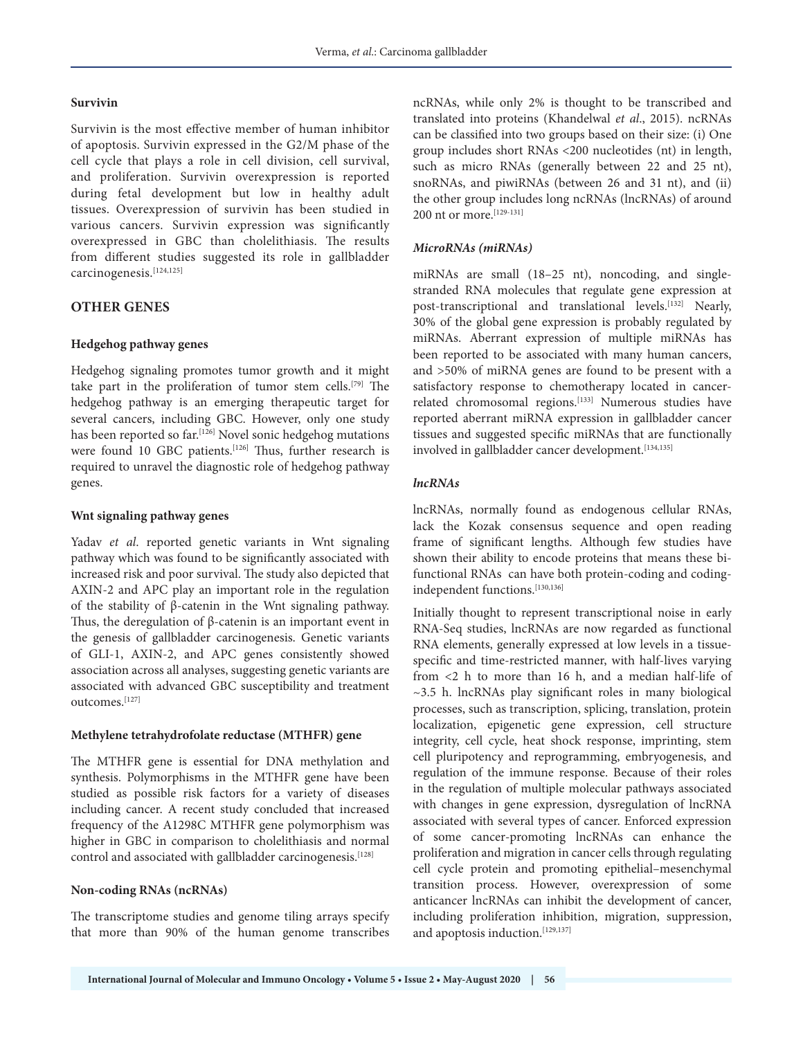#### **Survivin**

Survivin is the most effective member of human inhibitor of apoptosis. Survivin expressed in the G2/M phase of the cell cycle that plays a role in cell division, cell survival, and proliferation. Survivin overexpression is reported during fetal development but low in healthy adult tissues. Overexpression of survivin has been studied in various cancers. Survivin expression was significantly overexpressed in GBC than cholelithiasis. The results from different studies suggested its role in gallbladder carcinogenesis.[124,125]

## **OTHER GENES**

#### **Hedgehog pathway genes**

Hedgehog signaling promotes tumor growth and it might take part in the proliferation of tumor stem cells.[79] The hedgehog pathway is an emerging therapeutic target for several cancers, including GBC. However, only one study has been reported so far.<sup>[126]</sup> Novel sonic hedgehog mutations were found 10 GBC patients.<sup>[126]</sup> Thus, further research is required to unravel the diagnostic role of hedgehog pathway genes.

#### **Wnt signaling pathway genes**

Yadav *et al*. reported genetic variants in Wnt signaling pathway which was found to be significantly associated with increased risk and poor survival. The study also depicted that AXIN-2 and APC play an important role in the regulation of the stability of β-catenin in the Wnt signaling pathway. Thus, the deregulation of β-catenin is an important event in the genesis of gallbladder carcinogenesis. Genetic variants of GLI-1, AXIN-2, and APC genes consistently showed association across all analyses, suggesting genetic variants are associated with advanced GBC susceptibility and treatment outcomes.[127]

#### **Methylene tetrahydrofolate reductase (MTHFR) gene**

The MTHFR gene is essential for DNA methylation and synthesis. Polymorphisms in the MTHFR gene have been studied as possible risk factors for a variety of diseases including cancer. A recent study concluded that increased frequency of the A1298C MTHFR gene polymorphism was higher in GBC in comparison to cholelithiasis and normal control and associated with gallbladder carcinogenesis.<sup>[128]</sup>

#### **Non-coding RNAs (ncRNAs)**

The transcriptome studies and genome tiling arrays specify that more than 90% of the human genome transcribes ncRNAs, while only 2% is thought to be transcribed and translated into proteins (Khandelwal *et al*., 2015). ncRNAs can be classified into two groups based on their size: (i) One group includes short RNAs <200 nucleotides (nt) in length, such as micro RNAs (generally between 22 and 25 nt), snoRNAs, and piwiRNAs (between 26 and 31 nt), and (ii) the other group includes long ncRNAs (lncRNAs) of around 200 nt or more.[129-131]

#### *MicroRNAs (miRNAs)*

miRNAs are small (18–25 nt), noncoding, and singlestranded RNA molecules that regulate gene expression at post-transcriptional and translational levels.<sup>[132]</sup> Nearly, 30% of the global gene expression is probably regulated by miRNAs. Aberrant expression of multiple miRNAs has been reported to be associated with many human cancers, and >50% of miRNA genes are found to be present with a satisfactory response to chemotherapy located in cancerrelated chromosomal regions.[133] Numerous studies have reported aberrant miRNA expression in gallbladder cancer tissues and suggested specific miRNAs that are functionally involved in gallbladder cancer development.<sup>[134,135]</sup>

### *lncRNAs*

lncRNAs, normally found as endogenous cellular RNAs, lack the Kozak consensus sequence and open reading frame of significant lengths. Although few studies have shown their ability to encode proteins that means these bifunctional RNAs can have both protein-coding and codingindependent functions.[130,136]

Initially thought to represent transcriptional noise in early RNA-Seq studies, lncRNAs are now regarded as functional RNA elements, generally expressed at low levels in a tissuespecific and time-restricted manner, with half-lives varying from <2 h to more than 16 h, and a median half-life of ~3.5 h. lncRNAs play significant roles in many biological processes, such as transcription, splicing, translation, protein localization, epigenetic gene expression, cell structure integrity, cell cycle, heat shock response, imprinting, stem cell pluripotency and reprogramming, embryogenesis, and regulation of the immune response. Because of their roles in the regulation of multiple molecular pathways associated with changes in gene expression, dysregulation of lncRNA associated with several types of cancer. Enforced expression of some cancer-promoting lncRNAs can enhance the proliferation and migration in cancer cells through regulating cell cycle protein and promoting epithelial–mesenchymal transition process. However, overexpression of some anticancer lncRNAs can inhibit the development of cancer, including proliferation inhibition, migration, suppression, and apoptosis induction.<sup>[129,137]</sup>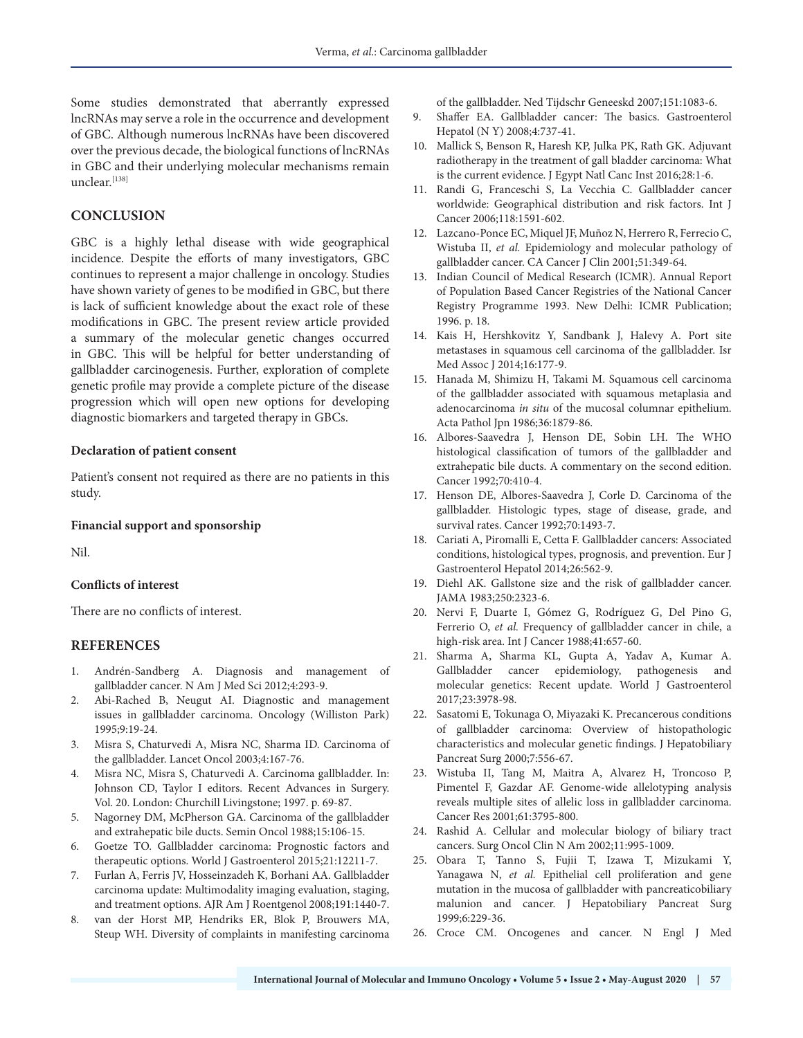Some studies demonstrated that aberrantly expressed lncRNAs may serve a role in the occurrence and development of GBC. Although numerous lncRNAs have been discovered over the previous decade, the biological functions of lncRNAs in GBC and their underlying molecular mechanisms remain unclear.[138]

# **CONCLUSION**

GBC is a highly lethal disease with wide geographical incidence. Despite the efforts of many investigators, GBC continues to represent a major challenge in oncology. Studies have shown variety of genes to be modified in GBC, but there is lack of sufficient knowledge about the exact role of these modifications in GBC. The present review article provided a summary of the molecular genetic changes occurred in GBC. This will be helpful for better understanding of gallbladder carcinogenesis. Further, exploration of complete genetic profile may provide a complete picture of the disease progression which will open new options for developing diagnostic biomarkers and targeted therapy in GBCs.

#### **Declaration of patient consent**

Patient's consent not required as there are no patients in this study.

#### **Financial support and sponsorship**

Nil.

#### **Conflicts of interest**

There are no conflicts of interest.

#### **REFERENCES**

- 1. Andrén-Sandberg A. Diagnosis and management of gallbladder cancer. N Am J Med Sci 2012;4:293-9.
- 2. Abi-Rached B, Neugut AI. Diagnostic and management issues in gallbladder carcinoma. Oncology (Williston Park) 1995;9:19-24.
- 3. Misra S, Chaturvedi A, Misra NC, Sharma ID. Carcinoma of the gallbladder. Lancet Oncol 2003;4:167-76.
- 4. Misra NC, Misra S, Chaturvedi A. Carcinoma gallbladder. In: Johnson CD, Taylor I editors. Recent Advances in Surgery. Vol. 20. London: Churchill Livingstone; 1997. p. 69-87.
- 5. Nagorney DM, McPherson GA. Carcinoma of the gallbladder and extrahepatic bile ducts. Semin Oncol 1988;15:106-15.
- 6. Goetze TO. Gallbladder carcinoma: Prognostic factors and therapeutic options. World J Gastroenterol 2015;21:12211-7.
- 7. Furlan A, Ferris JV, Hosseinzadeh K, Borhani AA. Gallbladder carcinoma update: Multimodality imaging evaluation, staging, and treatment options. AJR Am J Roentgenol 2008;191:1440-7.
- 8. van der Horst MP, Hendriks ER, Blok P, Brouwers MA, Steup WH. Diversity of complaints in manifesting carcinoma

of the gallbladder. Ned Tijdschr Geneeskd 2007;151:1083-6.

- 9. Shaffer EA. Gallbladder cancer: The basics. Gastroenterol Hepatol (N Y) 2008;4:737-41.
- 10. Mallick S, Benson R, Haresh KP, Julka PK, Rath GK. Adjuvant radiotherapy in the treatment of gall bladder carcinoma: What is the current evidence. J Egypt Natl Canc Inst 2016;28:1-6.
- 11. Randi G, Franceschi S, La Vecchia C. Gallbladder cancer worldwide: Geographical distribution and risk factors. Int J Cancer 2006;118:1591-602.
- 12. Lazcano-Ponce EC, Miquel JF, Muñoz N, Herrero R, Ferrecio C, Wistuba II, *et al.* Epidemiology and molecular pathology of gallbladder cancer. CA Cancer J Clin 2001;51:349-64.
- 13. Indian Council of Medical Research (ICMR). Annual Report of Population Based Cancer Registries of the National Cancer Registry Programme 1993. New Delhi: ICMR Publication; 1996. p. 18.
- 14. Kais H, Hershkovitz Y, Sandbank J, Halevy A. Port site metastases in squamous cell carcinoma of the gallbladder. Isr Med Assoc J 2014;16:177-9.
- 15. Hanada M, Shimizu H, Takami M. Squamous cell carcinoma of the gallbladder associated with squamous metaplasia and adenocarcinoma *in situ* of the mucosal columnar epithelium. Acta Pathol Jpn 1986;36:1879-86.
- 16. Albores-Saavedra J, Henson DE, Sobin LH. The WHO histological classification of tumors of the gallbladder and extrahepatic bile ducts. A commentary on the second edition. Cancer 1992;70:410-4.
- 17. Henson DE, Albores-Saavedra J, Corle D. Carcinoma of the gallbladder. Histologic types, stage of disease, grade, and survival rates. Cancer 1992;70:1493-7.
- 18. Cariati A, Piromalli E, Cetta F. Gallbladder cancers: Associated conditions, histological types, prognosis, and prevention. Eur J Gastroenterol Hepatol 2014;26:562-9.
- 19. Diehl AK. Gallstone size and the risk of gallbladder cancer. JAMA 1983;250:2323-6.
- 20. Nervi F, Duarte I, Gómez G, Rodríguez G, Del Pino G, Ferrerio O, et al. Frequency of gallbladder cancer in chile, a high-risk area. Int J Cancer 1988;41:657-60.
- 21. Sharma A, Sharma KL, Gupta A, Yadav A, Kumar A. Gallbladder cancer epidemiology, pathogenesis and molecular genetics: Recent update. World J Gastroenterol 2017;23:3978-98.
- 22. Sasatomi E, Tokunaga O, Miyazaki K. Precancerous conditions of gallbladder carcinoma: Overview of histopathologic characteristics and molecular genetic findings. J Hepatobiliary Pancreat Surg 2000;7:556-67.
- 23. Wistuba II, Tang M, Maitra A, Alvarez H, Troncoso P, Pimentel F, Gazdar AF. Genome-wide allelotyping analysis reveals multiple sites of allelic loss in gallbladder carcinoma. Cancer Res 2001;61:3795-800.
- 24. Rashid A. Cellular and molecular biology of biliary tract cancers. Surg Oncol Clin N Am 2002;11:995-1009.
- 25. Obara T, Tanno S, Fujii T, Izawa T, Mizukami Y, Yanagawa N, *et al.* Epithelial cell proliferation and gene mutation in the mucosa of gallbladder with pancreaticobiliary malunion and cancer. J Hepatobiliary Pancreat Surg 1999;6:229-36.
- 26. Croce CM. Oncogenes and cancer. N Engl J Med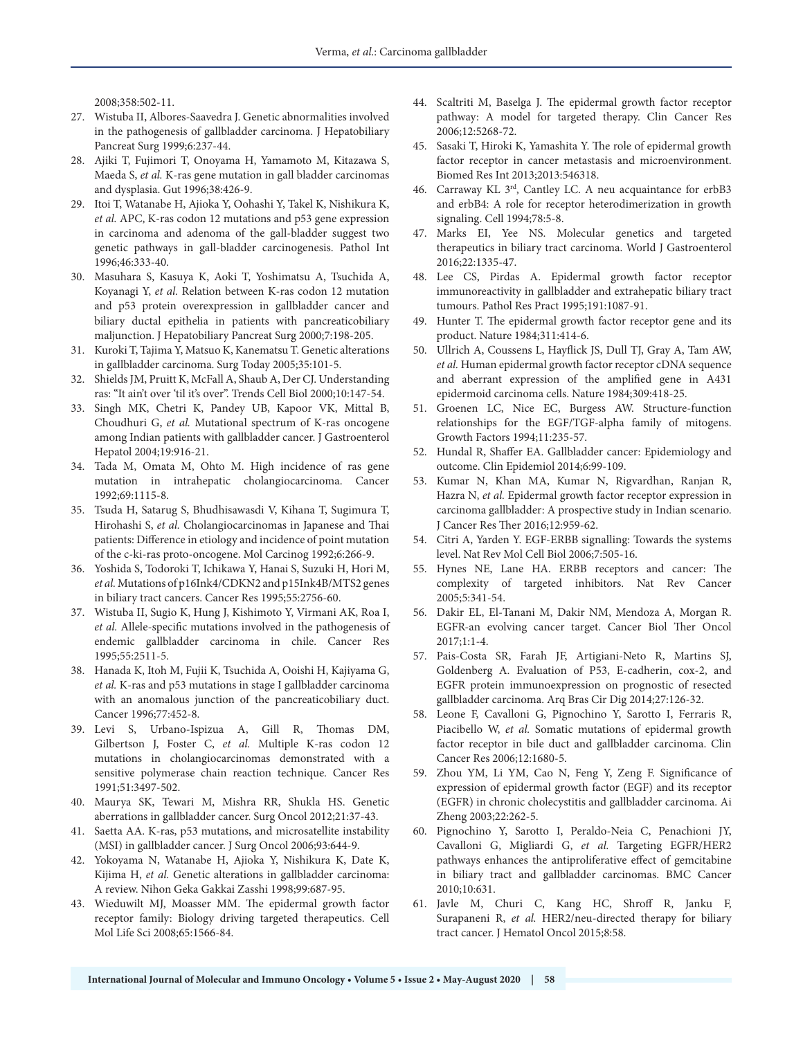2008;358:502-11.

- 27. Wistuba II, Albores-Saavedra J. Genetic abnormalities involved in the pathogenesis of gallbladder carcinoma. J Hepatobiliary Pancreat Surg 1999;6:237-44.
- 28. Ajiki T, Fujimori T, Onoyama H, Yamamoto M, Kitazawa S, Maeda S, *et al.* K-ras gene mutation in gall bladder carcinomas and dysplasia. Gut 1996;38:426-9.
- 29. Itoi T, Watanabe H, Ajioka Y, Oohashi Y, Takel K, Nishikura K, *et al.* APC, K-ras codon 12 mutations and p53 gene expression in carcinoma and adenoma of the gall-bladder suggest two genetic pathways in gall-bladder carcinogenesis. Pathol Int 1996;46:333-40.
- 30. Masuhara S, Kasuya K, Aoki T, Yoshimatsu A, Tsuchida A, Koyanagi Y, *et al.* Relation between K-ras codon 12 mutation and p53 protein overexpression in gallbladder cancer and biliary ductal epithelia in patients with pancreaticobiliary maljunction. J Hepatobiliary Pancreat Surg 2000;7:198-205.
- 31. Kuroki T, Tajima Y, Matsuo K, Kanematsu T. Genetic alterations in gallbladder carcinoma. Surg Today 2005;35:101-5.
- 32. Shields JM, Pruitt K, McFall A, Shaub A, Der CJ. Understanding ras: "It ain't over 'til it's over". Trends Cell Biol 2000;10:147-54.
- 33. Singh MK, Chetri K, Pandey UB, Kapoor VK, Mittal B, Choudhuri G, *et al.* Mutational spectrum of K-ras oncogene among Indian patients with gallbladder cancer. J Gastroenterol Hepatol 2004;19:916-21.
- 34. Tada M, Omata M, Ohto M. High incidence of ras gene mutation in intrahepatic cholangiocarcinoma. Cancer 1992;69:1115-8.
- 35. Tsuda H, Satarug S, Bhudhisawasdi V, Kihana T, Sugimura T, Hirohashi S, *et al.* Cholangiocarcinomas in Japanese and Thai patients: Difference in etiology and incidence of point mutation of the c-ki-ras proto-oncogene. Mol Carcinog 1992;6:266-9.
- 36. Yoshida S, Todoroki T, Ichikawa Y, Hanai S, Suzuki H, Hori M, *et al.* Mutations of p16Ink4/CDKN2 and p15Ink4B/MTS2 genes in biliary tract cancers. Cancer Res 1995;55:2756-60.
- 37. Wistuba II, Sugio K, Hung J, Kishimoto Y, Virmani AK, Roa I, *et al.* Allele-specific mutations involved in the pathogenesis of endemic gallbladder carcinoma in chile. Cancer Res 1995;55:2511-5.
- 38. Hanada K, Itoh M, Fujii K, Tsuchida A, Ooishi H, Kajiyama G, *et al.* K-ras and p53 mutations in stage I gallbladder carcinoma with an anomalous junction of the pancreaticobiliary duct. Cancer 1996;77:452-8.
- 39. Levi S, Urbano-Ispizua A, Gill R, Thomas DM, Gilbertson J, Foster C, *et al.* Multiple K-ras codon 12 mutations in cholangiocarcinomas demonstrated with a sensitive polymerase chain reaction technique. Cancer Res 1991;51:3497-502.
- 40. Maurya SK, Tewari M, Mishra RR, Shukla HS. Genetic aberrations in gallbladder cancer. Surg Oncol 2012;21:37-43.
- 41. Saetta AA. K-ras, p53 mutations, and microsatellite instability (MSI) in gallbladder cancer. J Surg Oncol 2006;93:644-9.
- 42. Yokoyama N, Watanabe H, Ajioka Y, Nishikura K, Date K, Kijima H, *et al.* Genetic alterations in gallbladder carcinoma: A review. Nihon Geka Gakkai Zasshi 1998;99:687-95.
- 43. Wieduwilt MJ, Moasser MM. The epidermal growth factor receptor family: Biology driving targeted therapeutics. Cell Mol Life Sci 2008;65:1566-84.
- 44. Scaltriti M, Baselga J. The epidermal growth factor receptor pathway: A model for targeted therapy. Clin Cancer Res 2006;12:5268-72.
- 45. Sasaki T, Hiroki K, Yamashita Y. The role of epidermal growth factor receptor in cancer metastasis and microenvironment. Biomed Res Int 2013;2013:546318.
- 46. Carraway KL 3rd, Cantley LC. A neu acquaintance for erbB3 and erbB4: A role for receptor heterodimerization in growth signaling. Cell 1994;78:5-8.
- 47. Marks EI, Yee NS. Molecular genetics and targeted therapeutics in biliary tract carcinoma. World J Gastroenterol 2016;22:1335-47.
- 48. Lee CS, Pirdas A. Epidermal growth factor receptor immunoreactivity in gallbladder and extrahepatic biliary tract tumours. Pathol Res Pract 1995;191:1087-91.
- 49. Hunter T. The epidermal growth factor receptor gene and its product. Nature 1984;311:414-6.
- 50. Ullrich A, Coussens L, Hayflick JS, Dull TJ, Gray A, Tam AW, *et al.* Human epidermal growth factor receptor cDNA sequence and aberrant expression of the amplified gene in A431 epidermoid carcinoma cells. Nature 1984;309:418-25.
- 51. Groenen LC, Nice EC, Burgess AW. Structure-function relationships for the EGF/TGF-alpha family of mitogens. Growth Factors 1994;11:235-57.
- 52. Hundal R, Shaffer EA. Gallbladder cancer: Epidemiology and outcome. Clin Epidemiol 2014;6:99-109.
- 53. Kumar N, Khan MA, Kumar N, Rigvardhan, Ranjan R, Hazra N, *et al.* Epidermal growth factor receptor expression in carcinoma gallbladder: A prospective study in Indian scenario. J Cancer Res Ther 2016;12:959-62.
- 54. Citri A, Yarden Y. EGF-ERBB signalling: Towards the systems level. Nat Rev Mol Cell Biol 2006;7:505-16.
- 55. Hynes NE, Lane HA. ERBB receptors and cancer: The complexity of targeted inhibitors. Nat Rev Cancer 2005;5:341-54.
- 56. Dakir EL, El-Tanani M, Dakir NM, Mendoza A, Morgan R. EGFR-an evolving cancer target. Cancer Biol Ther Oncol 2017;1:1-4.
- 57. Pais-Costa SR, Farah JF, Artigiani-Neto R, Martins SJ, Goldenberg A. Evaluation of P53, E-cadherin, cox-2, and EGFR protein immunoexpression on prognostic of resected gallbladder carcinoma. Arq Bras Cir Dig 2014;27:126-32.
- 58. Leone F, Cavalloni G, Pignochino Y, Sarotto I, Ferraris R, Piacibello W, *et al.* Somatic mutations of epidermal growth factor receptor in bile duct and gallbladder carcinoma. Clin Cancer Res 2006;12:1680-5.
- 59. Zhou YM, Li YM, Cao N, Feng Y, Zeng F. Significance of expression of epidermal growth factor (EGF) and its receptor (EGFR) in chronic cholecystitis and gallbladder carcinoma. Ai Zheng 2003;22:262-5.
- 60. Pignochino Y, Sarotto I, Peraldo-Neia C, Penachioni JY, Cavalloni G, Migliardi G, *et al.* Targeting EGFR/HER2 pathways enhances the antiproliferative effect of gemcitabine in biliary tract and gallbladder carcinomas. BMC Cancer 2010;10:631.
- 61. Javle M, Churi C, Kang HC, Shroff R, Janku F, Surapaneni R, *et al.* HER2/neu-directed therapy for biliary tract cancer. J Hematol Oncol 2015;8:58.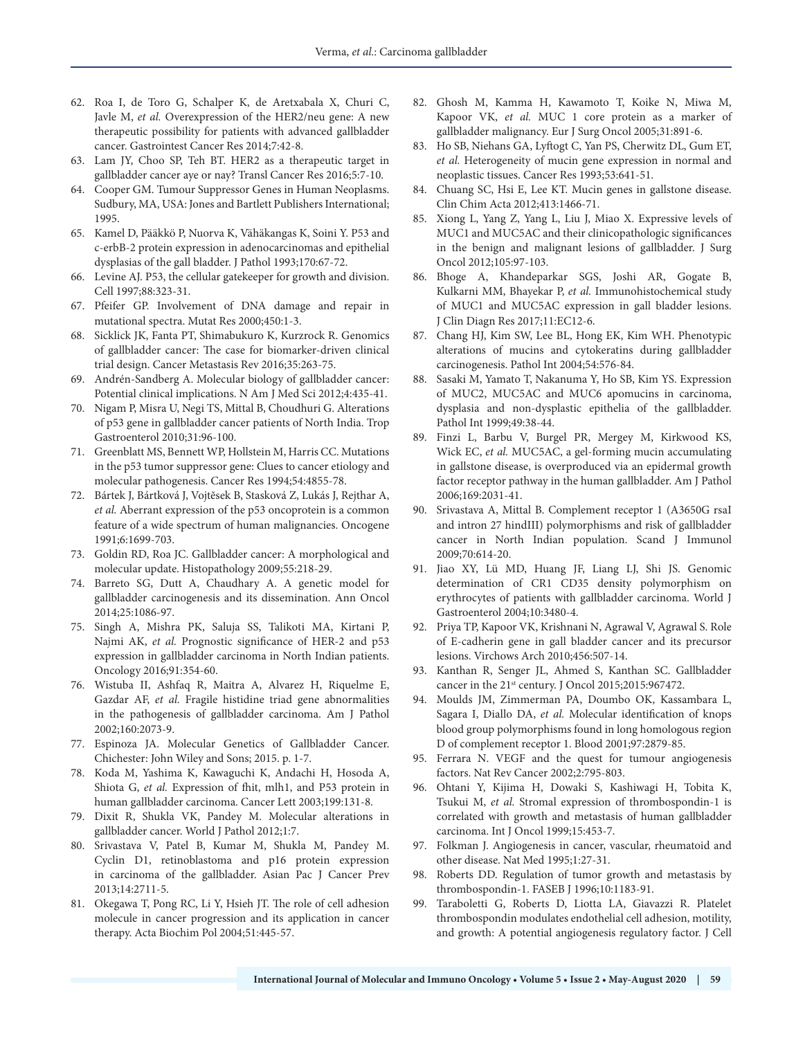- 62. Roa I, de Toro G, Schalper K, de Aretxabala X, Churi C, Javle M, *et al.* Overexpression of the HER2/neu gene: A new therapeutic possibility for patients with advanced gallbladder cancer. Gastrointest Cancer Res 2014;7:42-8.
- 63. Lam JY, Choo SP, Teh BT. HER2 as a therapeutic target in gallbladder cancer aye or nay? Transl Cancer Res 2016;5:7-10.
- 64. Cooper GM. Tumour Suppressor Genes in Human Neoplasms. Sudbury, MA, USA: Jones and Bartlett Publishers International; 1995.
- 65. Kamel D, Pääkkö P, Nuorva K, Vähäkangas K, Soini Y. P53 and c-erbB-2 protein expression in adenocarcinomas and epithelial dysplasias of the gall bladder. J Pathol 1993;170:67-72.
- 66. Levine AJ. P53, the cellular gatekeeper for growth and division. Cell 1997;88:323-31.
- 67. Pfeifer GP. Involvement of DNA damage and repair in mutational spectra. Mutat Res 2000;450:1-3.
- 68. Sicklick JK, Fanta PT, Shimabukuro K, Kurzrock R. Genomics of gallbladder cancer: The case for biomarker-driven clinical trial design. Cancer Metastasis Rev 2016;35:263-75.
- 69. Andrén-Sandberg A. Molecular biology of gallbladder cancer: Potential clinical implications. N Am J Med Sci 2012;4:435-41.
- 70. Nigam P, Misra U, Negi TS, Mittal B, Choudhuri G. Alterations of p53 gene in gallbladder cancer patients of North India. Trop Gastroenterol 2010;31:96-100.
- 71. Greenblatt MS, Bennett WP, Hollstein M, Harris CC. Mutations in the p53 tumor suppressor gene: Clues to cancer etiology and molecular pathogenesis. Cancer Res 1994;54:4855-78.
- 72. Bártek J, Bártková J, Vojtĕsek B, Stasková Z, Lukás J, Rejthar A, *et al.* Aberrant expression of the p53 oncoprotein is a common feature of a wide spectrum of human malignancies. Oncogene 1991;6:1699-703.
- 73. Goldin RD, Roa JC. Gallbladder cancer: A morphological and molecular update. Histopathology 2009;55:218-29.
- 74. Barreto SG, Dutt A, Chaudhary A. A genetic model for gallbladder carcinogenesis and its dissemination. Ann Oncol 2014;25:1086-97.
- 75. Singh A, Mishra PK, Saluja SS, Talikoti MA, Kirtani P, Najmi AK, *et al.* Prognostic significance of HER-2 and p53 expression in gallbladder carcinoma in North Indian patients. Oncology 2016;91:354-60.
- 76. Wistuba II, Ashfaq R, Maitra A, Alvarez H, Riquelme E, Gazdar AF, *et al.* Fragile histidine triad gene abnormalities in the pathogenesis of gallbladder carcinoma. Am J Pathol 2002;160:2073-9.
- 77. Espinoza JA. Molecular Genetics of Gallbladder Cancer. Chichester: John Wiley and Sons; 2015. p. 1-7.
- 78. Koda M, Yashima K, Kawaguchi K, Andachi H, Hosoda A, Shiota G, *et al.* Expression of fhit, mlh1, and P53 protein in human gallbladder carcinoma. Cancer Lett 2003;199:131-8.
- 79. Dixit R, Shukla VK, Pandey M. Molecular alterations in gallbladder cancer. World J Pathol 2012;1:7.
- 80. Srivastava V, Patel B, Kumar M, Shukla M, Pandey M. Cyclin D1, retinoblastoma and p16 protein expression in carcinoma of the gallbladder. Asian Pac J Cancer Prev 2013;14:2711-5.
- 81. Okegawa T, Pong RC, Li Y, Hsieh JT. The role of cell adhesion molecule in cancer progression and its application in cancer therapy. Acta Biochim Pol 2004;51:445-57.
- 82. Ghosh M, Kamma H, Kawamoto T, Koike N, Miwa M, Kapoor VK, *et al.* MUC 1 core protein as a marker of gallbladder malignancy. Eur J Surg Oncol 2005;31:891-6.
- 83. Ho SB, Niehans GA, Lyftogt C, Yan PS, Cherwitz DL, Gum ET, *et al.* Heterogeneity of mucin gene expression in normal and neoplastic tissues. Cancer Res 1993;53:641-51.
- 84. Chuang SC, Hsi E, Lee KT. Mucin genes in gallstone disease. Clin Chim Acta 2012;413:1466-71.
- 85. Xiong L, Yang Z, Yang L, Liu J, Miao X. Expressive levels of MUC1 and MUC5AC and their clinicopathologic significances in the benign and malignant lesions of gallbladder. J Surg Oncol 2012;105:97-103.
- 86. Bhoge A, Khandeparkar SGS, Joshi AR, Gogate B, Kulkarni MM, Bhayekar P, *et al.* Immunohistochemical study of MUC1 and MUC5AC expression in gall bladder lesions. J Clin Diagn Res 2017;11:EC12-6.
- 87. Chang HJ, Kim SW, Lee BL, Hong EK, Kim WH. Phenotypic alterations of mucins and cytokeratins during gallbladder carcinogenesis. Pathol Int 2004;54:576-84.
- 88. Sasaki M, Yamato T, Nakanuma Y, Ho SB, Kim YS. Expression of MUC2, MUC5AC and MUC6 apomucins in carcinoma, dysplasia and non-dysplastic epithelia of the gallbladder. Pathol Int 1999;49:38-44.
- 89. Finzi L, Barbu V, Burgel PR, Mergey M, Kirkwood KS, Wick EC, *et al.* MUC5AC, a gel-forming mucin accumulating in gallstone disease, is overproduced via an epidermal growth factor receptor pathway in the human gallbladder. Am J Pathol 2006;169:2031-41.
- 90. Srivastava A, Mittal B. Complement receptor 1 (A3650G rsaI and intron 27 hindIII) polymorphisms and risk of gallbladder cancer in North Indian population. Scand J Immunol 2009;70:614-20.
- 91. Jiao XY, Lü MD, Huang JF, Liang LJ, Shi JS. Genomic determination of CR1 CD35 density polymorphism on erythrocytes of patients with gallbladder carcinoma. World J Gastroenterol 2004;10:3480-4.
- 92. Priya TP, Kapoor VK, Krishnani N, Agrawal V, Agrawal S. Role of E-cadherin gene in gall bladder cancer and its precursor lesions. Virchows Arch 2010;456:507-14.
- 93. Kanthan R, Senger JL, Ahmed S, Kanthan SC. Gallbladder cancer in the 21st century. J Oncol 2015;2015:967472.
- 94. Moulds JM, Zimmerman PA, Doumbo OK, Kassambara L, Sagara I, Diallo DA, *et al.* Molecular identification of knops blood group polymorphisms found in long homologous region D of complement receptor 1. Blood 2001;97:2879-85.
- 95. Ferrara N. VEGF and the quest for tumour angiogenesis factors. Nat Rev Cancer 2002;2:795-803.
- 96. Ohtani Y, Kijima H, Dowaki S, Kashiwagi H, Tobita K, Tsukui M, *et al.* Stromal expression of thrombospondin-1 is correlated with growth and metastasis of human gallbladder carcinoma. Int J Oncol 1999;15:453-7.
- 97. Folkman J. Angiogenesis in cancer, vascular, rheumatoid and other disease. Nat Med 1995;1:27-31.
- 98. Roberts DD. Regulation of tumor growth and metastasis by thrombospondin-1. FASEB J 1996;10:1183-91.
- 99. Taraboletti G, Roberts D, Liotta LA, Giavazzi R. Platelet thrombospondin modulates endothelial cell adhesion, motility, and growth: A potential angiogenesis regulatory factor. J Cell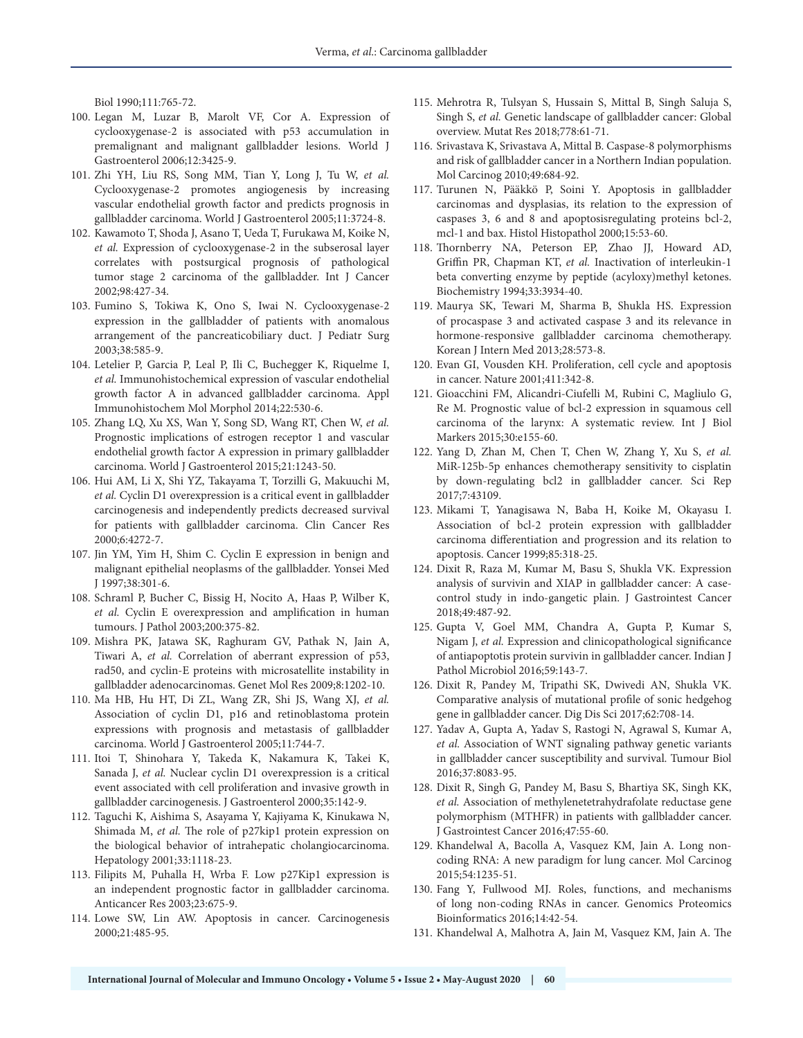Biol 1990;111:765-72.

- 100. Legan M, Luzar B, Marolt VF, Cor A. Expression of cyclooxygenase-2 is associated with p53 accumulation in premalignant and malignant gallbladder lesions. World J Gastroenterol 2006;12:3425-9.
- 101. Zhi YH, Liu RS, Song MM, Tian Y, Long J, Tu W, *et al.* Cyclooxygenase-2 promotes angiogenesis by increasing vascular endothelial growth factor and predicts prognosis in gallbladder carcinoma. World J Gastroenterol 2005;11:3724-8.
- 102. Kawamoto T, Shoda J, Asano T, Ueda T, Furukawa M, Koike N, *et al.* Expression of cyclooxygenase-2 in the subserosal layer correlates with postsurgical prognosis of pathological tumor stage 2 carcinoma of the gallbladder. Int J Cancer 2002;98:427-34.
- 103. Fumino S, Tokiwa K, Ono S, Iwai N. Cyclooxygenase-2 expression in the gallbladder of patients with anomalous arrangement of the pancreaticobiliary duct. J Pediatr Surg 2003;38:585-9.
- 104. Letelier P, Garcia P, Leal P, Ili C, Buchegger K, Riquelme I, *et al.* Immunohistochemical expression of vascular endothelial growth factor A in advanced gallbladder carcinoma. Appl Immunohistochem Mol Morphol 2014;22:530-6.
- 105. Zhang LQ, Xu XS, Wan Y, Song SD, Wang RT, Chen W, *et al.* Prognostic implications of estrogen receptor 1 and vascular endothelial growth factor A expression in primary gallbladder carcinoma. World J Gastroenterol 2015;21:1243-50.
- 106. Hui AM, Li X, Shi YZ, Takayama T, Torzilli G, Makuuchi M, *et al.* Cyclin D1 overexpression is a critical event in gallbladder carcinogenesis and independently predicts decreased survival for patients with gallbladder carcinoma. Clin Cancer Res 2000;6:4272-7.
- 107. Jin YM, Yim H, Shim C. Cyclin E expression in benign and malignant epithelial neoplasms of the gallbladder. Yonsei Med J 1997;38:301-6.
- 108. Schraml P, Bucher C, Bissig H, Nocito A, Haas P, Wilber K, *et al.* Cyclin E overexpression and amplification in human tumours. J Pathol 2003;200:375-82.
- 109. Mishra PK, Jatawa SK, Raghuram GV, Pathak N, Jain A, Tiwari A, *et al.* Correlation of aberrant expression of p53, rad50, and cyclin-E proteins with microsatellite instability in gallbladder adenocarcinomas. Genet Mol Res 2009;8:1202-10.
- 110. Ma HB, Hu HT, Di ZL, Wang ZR, Shi JS, Wang XJ, *et al.* Association of cyclin D1, p16 and retinoblastoma protein expressions with prognosis and metastasis of gallbladder carcinoma. World J Gastroenterol 2005;11:744-7.
- 111. Itoi T, Shinohara Y, Takeda K, Nakamura K, Takei K, Sanada J, *et al.* Nuclear cyclin D1 overexpression is a critical event associated with cell proliferation and invasive growth in gallbladder carcinogenesis. J Gastroenterol 2000;35:142-9.
- 112. Taguchi K, Aishima S, Asayama Y, Kajiyama K, Kinukawa N, Shimada M, *et al.* The role of p27kip1 protein expression on the biological behavior of intrahepatic cholangiocarcinoma. Hepatology 2001;33:1118-23.
- 113. Filipits M, Puhalla H, Wrba F. Low p27Kip1 expression is an independent prognostic factor in gallbladder carcinoma. Anticancer Res 2003;23:675-9.
- 114. Lowe SW, Lin AW. Apoptosis in cancer. Carcinogenesis 2000;21:485-95.
- 115. Mehrotra R, Tulsyan S, Hussain S, Mittal B, Singh Saluja S, Singh S, *et al.* Genetic landscape of gallbladder cancer: Global overview. Mutat Res 2018;778:61-71.
- 116. Srivastava K, Srivastava A, Mittal B. Caspase-8 polymorphisms and risk of gallbladder cancer in a Northern Indian population. Mol Carcinog 2010;49:684-92.
- 117. Turunen N, Pääkkö P, Soini Y. Apoptosis in gallbladder carcinomas and dysplasias, its relation to the expression of caspases 3, 6 and 8 and apoptosisregulating proteins bcl-2, mcl-1 and bax. Histol Histopathol 2000;15:53-60.
- 118. Thornberry NA, Peterson EP, Zhao JJ, Howard AD, Griffin PR, Chapman KT, *et al.* Inactivation of interleukin-1 beta converting enzyme by peptide (acyloxy)methyl ketones. Biochemistry 1994;33:3934-40.
- 119. Maurya SK, Tewari M, Sharma B, Shukla HS. Expression of procaspase 3 and activated caspase 3 and its relevance in hormone-responsive gallbladder carcinoma chemotherapy. Korean J Intern Med 2013;28:573-8.
- 120. Evan GI, Vousden KH. Proliferation, cell cycle and apoptosis in cancer. Nature 2001;411:342-8.
- 121. Gioacchini FM, Alicandri-Ciufelli M, Rubini C, Magliulo G, Re M. Prognostic value of bcl-2 expression in squamous cell carcinoma of the larynx: A systematic review. Int J Biol Markers 2015;30:e155-60.
- 122. Yang D, Zhan M, Chen T, Chen W, Zhang Y, Xu S, *et al.* MiR-125b-5p enhances chemotherapy sensitivity to cisplatin by down-regulating bcl2 in gallbladder cancer. Sci Rep 2017;7:43109.
- 123. Mikami T, Yanagisawa N, Baba H, Koike M, Okayasu I. Association of bcl-2 protein expression with gallbladder carcinoma differentiation and progression and its relation to apoptosis. Cancer 1999;85:318-25.
- 124. Dixit R, Raza M, Kumar M, Basu S, Shukla VK. Expression analysis of survivin and XIAP in gallbladder cancer: A casecontrol study in indo-gangetic plain. J Gastrointest Cancer 2018;49:487-92.
- 125. Gupta V, Goel MM, Chandra A, Gupta P, Kumar S, Nigam J, *et al.* Expression and clinicopathological significance of antiapoptotis protein survivin in gallbladder cancer. Indian J Pathol Microbiol 2016;59:143-7.
- 126. Dixit R, Pandey M, Tripathi SK, Dwivedi AN, Shukla VK. Comparative analysis of mutational profile of sonic hedgehog gene in gallbladder cancer. Dig Dis Sci 2017;62:708-14.
- 127. Yadav A, Gupta A, Yadav S, Rastogi N, Agrawal S, Kumar A, *et al.* Association of WNT signaling pathway genetic variants in gallbladder cancer susceptibility and survival. Tumour Biol 2016;37:8083-95.
- 128. Dixit R, Singh G, Pandey M, Basu S, Bhartiya SK, Singh KK, *et al.* Association of methylenetetrahydrafolate reductase gene polymorphism (MTHFR) in patients with gallbladder cancer. J Gastrointest Cancer 2016;47:55-60.
- 129. Khandelwal A, Bacolla A, Vasquez KM, Jain A. Long noncoding RNA: A new paradigm for lung cancer. Mol Carcinog 2015;54:1235-51.
- 130. Fang Y, Fullwood MJ. Roles, functions, and mechanisms of long non-coding RNAs in cancer. Genomics Proteomics Bioinformatics 2016;14:42-54.
- 131. Khandelwal A, Malhotra A, Jain M, Vasquez KM, Jain A. The